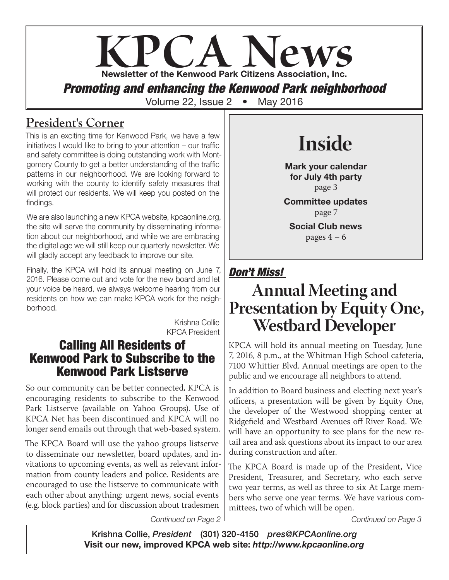# **KPCA Newsletter of the Kenwood Park Citizens Association, Inc.** *Promoting and enhancing the Kenwood Park neighborhood* Volume 22, Issue 2 • May 2016

## **President's Corner**

This is an exciting time for Kenwood Park, we have a few initiatives I would like to bring to your attention – our traffic and safety committee is doing outstanding work with Montgomery County to get a better understanding of the traffic patterns in our neighborhood. We are looking forward to working with the county to identify safety measures that will protect our residents. We will keep you posted on the findings.

We are also launching a new KPCA website, kpcaonline.org, the site will serve the community by disseminating information about our neighborhood, and while we are embracing the digital age we will still keep our quarterly newsletter. We will gladly accept any feedback to improve our site.

Finally, the KPCA will hold its annual meeting on June 7, 2016. Please come out and vote for the new board and let your voice be heard, we always welcome hearing from our residents on how we can make KPCA work for the neighborhood.

> Krishna Collie KPCA President

### Calling All Residents of Kenwood Park to Subscribe to the Kenwood Park Listserve

So our community can be better connected, KPCA is encouraging residents to subscribe to the Kenwood Park Listserve (available on Yahoo Groups). Use of KPCA Net has been discontinued and KPCA will no longer send emails out through that web-based system.

The KPCA Board will use the yahoo groups listserve to disseminate our newsletter, board updates, and invitations to upcoming events, as well as relevant information from county leaders and police. Residents are encouraged to use the listserve to communicate with each other about anything: urgent news, social events (e.g. block parties) and for discussion about tradesmen

# **Inside**

Mark your calendar for July 4th party page 3

Committee updates page 7

Social Club news pages  $4 - 6$ 

## *Don't Miss!*

## **Annual Meeting and Presentation by Equity One, Westbard Developer**

KPCA will hold its annual meeting on Tuesday, June 7, 2016, 8 p.m., at the Whitman High School cafeteria, 7100 Whittier Blvd. Annual meetings are open to the public and we encourage all neighbors to attend.

In addition to Board business and electing next year's officers, a presentation will be given by Equity One, the developer of the Westwood shopping center at Ridgefield and Westbard Avenues off River Road. We will have an opportunity to see plans for the new retail area and ask questions about its impact to our area during construction and after.

The KPCA Board is made up of the President, Vice President, Treasurer, and Secretary, who each serve two year terms, as well as three to six At Large members who serve one year terms. We have various committees, two of which will be open.

*Continued on Page 2*

*Continued on Page 3*

Krishna Collie, *President* (301) 320-4150 *pres@KPCAonline.org* Visit our new, improved KPCA web site: *http://www.kpcaonline.org*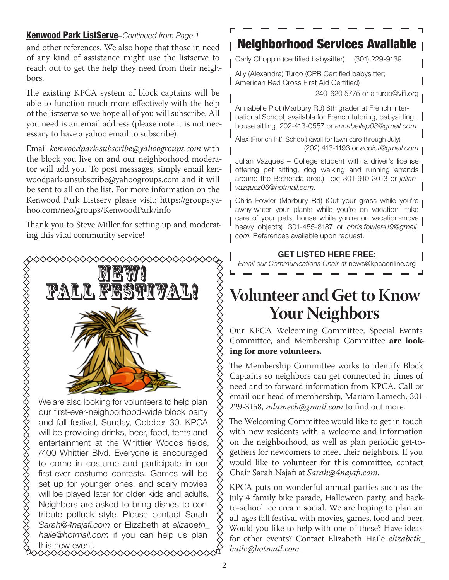### Kenwood Park ListServe–*Continued from Page 1*

and other references. We also hope that those in need of any kind of assistance might use the listserve to reach out to get the help they need from their neighbors.

The existing KPCA system of block captains will be able to function much more effectively with the help of the listserve so we hope all of you will subscribe. All you need is an email address (please note it is not necessary to have a yahoo email to subscribe).

Email *kenwoodpark-subscribe@yahoogroups.com* with the block you live on and our neighborhood moderator will add you. To post messages, simply email kenwoodpark-unsubscribe@yahoogroups.com and it will be sent to all on the list. For more information on the Kenwood Park Listserv please visit: https://groups.yahoo.com/neo/groups/KenwoodPark/info

Thank you to Steve Miller for setting up and moderating this vital community service!



We are also looking for volunteers to help plan our first-ever-neighborhood-wide block party and fall festival, Sunday, October 30. KPCA will be providing drinks, beer, food, tents and entertainment at the Whittier Woods fields, 7400 Whittier Blvd. Everyone is encouraged to come in costume and participate in our first-ever costume contests. Games will be set up for younger ones, and scary movies will be played later for older kids and adults. Neighbors are asked to bring dishes to contribute potluck style. Please contact Sarah *Sarah@4najafi.com* or Elizabeth at *elizabeth\_ haile@hotmail.com* if you can help us plan this new event.

## Neighborhood Services Available

Carly Choppin (certified babysitter) (301) 229-9139

Ally (Alexandra) Turco (CPR Certified babysitter; American Red Cross First Aid Certified)

240-620 5775 or alturco@vifi.org

Annabelle Piot (Marbury Rd) 8th grader at French International School, available for French tutoring, babysitting, house sitting. 202-413-0557 or *annabellep03@gmail.com*

Alex (French Int'l School) (avail for lawn care through July) (202) 413-1193 or *acpiot@gmail.com*

Julian Vazques – College student with a driver's license offering pet sitting, dog walking and running errands around the Bethesda area.) Text 301-910-3013 or *julianvazquez06@hotmail.com*.

Chris Fowler (Marbury Rd) (Cut your grass while you're away-water your plants while you're on vacation—take care of your pets, house while you're on vacation-move heavy objects). 301-455-8187 or *chris.fowler419@gmail. com*. References available upon request.

#### GET LISTED HERE FREE:

*Email our Communications Chair at* news@kpcaonline.org

## **Volunteer and Get to Know Your Neighbors**

Our KPCA Welcoming Committee, Special Events Committee, and Membership Committee **are looking for more volunteers.** 

The Membership Committee works to identify Block Captains so neighbors can get connected in times of need and to forward information from KPCA. Call or email our head of membership, Mariam Lamech, 301- 229-3158, *mlamech@gmail.com* to find out more.

The Welcoming Committee would like to get in touch with new residents with a welcome and information on the neighborhood, as well as plan periodic get-togethers for newcomers to meet their neighbors. If you would like to volunteer for this committee, contact Chair Sarah Najafi at *Sarah@4najafi.com*.

KPCA puts on wonderful annual parties such as the July 4 family bike parade, Halloween party, and backto-school ice cream social. We are hoping to plan an all-ages fall festival with movies, games, food and beer. Would you like to help with one of these? Have ideas for other events? Contact Elizabeth Haile *elizabeth\_ haile@hotmail.com.*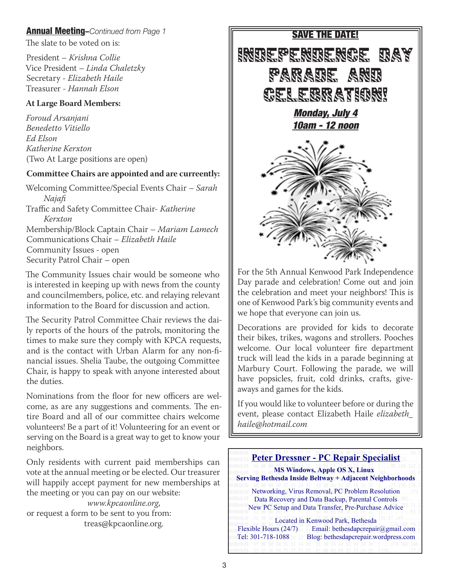### Annual Meeting–*Continued from Page 1* SAVE THE DATE!

The slate to be voted on is:

President – *Krishna Collie* Vice President – *Linda Chaletzky* Secretary - *Elizabeth Haile* Treasurer - *Hannah Elson*

#### **At Large Board Members:**

*Foroud Arsanjani Benedetto Vitiello Ed Elson Katherine Kerxton* (Two At Large positions are open)

#### **Committee Chairs are appointed and are curreently:**

Welcoming Committee/Special Events Chair – *Sarah Najafi* Traffic and Safety Committee Chair- *Katherine Kerxton* Membership/Block Captain Chair – *Mariam Lamech* Communications Chair – *Elizabeth Haile* Community Issues - open Security Patrol Chair – open

The Community Issues chair would be someone who is interested in keeping up with news from the county and councilmembers, police, etc. and relaying relevant information to the Board for discussion and action.

The Security Patrol Committee Chair reviews the daily reports of the hours of the patrols, monitoring the times to make sure they comply with KPCA requests, and is the contact with Urban Alarm for any non-financial issues. Shelia Taube, the outgoing Committee Chair, is happy to speak with anyone interested about the duties.

Nominations from the floor for new officers are welcome, as are any suggestions and comments. The entire Board and all of our committee chairs welcome volunteers! Be a part of it! Volunteering for an event or serving on the Board is a great way to get to know your neighbors.

Only residents with current paid memberships can vote at the annual meeting or be elected. Our treasurer will happily accept payment for new memberships at the meeting or you can pay on our website:

*www.kpcaonline.org*, or request a form to be sent to you from: treas@kpcaonline.org.



For the 5th Annual Kenwood Park Independence Day parade and celebration! Come out and join the celebration and meet your neighbors! This is one of Kenwood Park's big community events and we hope that everyone can join us.

Decorations are provided for kids to decorate their bikes, trikes, wagons and strollers. Pooches welcome. Our local volunteer fire department truck will lead the kids in a parade beginning at Marbury Court. Following the parade, we will have popsicles, fruit, cold drinks, crafts, giveaways and games for the kids.

If you would like to volunteer before or during the event, please contact Elizabeth Haile *elizabeth\_ haile@hotmail.com*

### **Peter Dressner - PC Repair Specialist**

 **MS Windows, Apple OS X, Linux Serving Bethesda Inside Beltway + Adjacent Neighborhoods**

Networking, Virus Removal, PC Problem Resolution Data Recovery and Data Backup, Parental Controls New PC Setup and Data Transfer, Pre-Purchase Advice

Located in Kenwood Park, Bethesda<br>Flexible Hours (24/7) Email: bethesdapcrepai Email: bethesdapcrepair@gmail.com Tel: 301-718-1088 am Blog: bethesdapcrepair.wordpress.com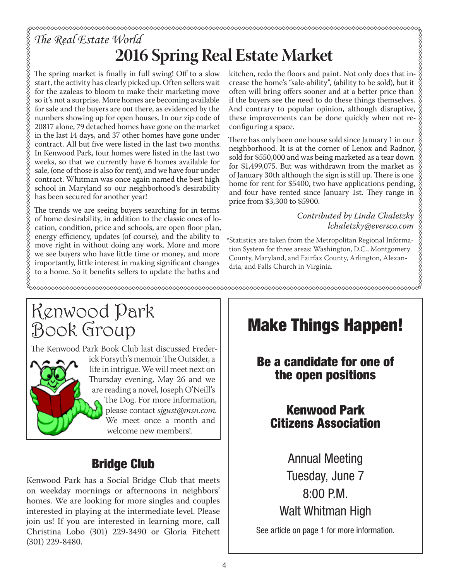# **2016 Spring Real Estate Market**

The spring market is finally in full swing! Off to a slow start, the activity has clearly picked up. Often sellers wait for the azaleas to bloom to make their marketing move so it's not a surprise. More homes are becoming available for sale and the buyers are out there, as evidenced by the numbers showing up for open houses. In our zip code of 20817 alone, 79 detached homes have gone on the market in the last 14 days, and 37 other homes have gone under contract. All but five were listed in the last two months. In Kenwood Park, four homes were listed in the last two weeks, so that we currently have 6 homes available for sale, (one of those is also for rent), and we have four under contract. Whitman was once again named the best high school in Maryland so our neighborhood's desirability has been secured for another year!

The trends we are seeing buyers searching for in terms of home desirability, in addition to the classic ones of location, condition, price and schools, are open floor plan, energy efficiency, updates (of course), and the ability to move right in without doing any work. More and more we see buyers who have little time or money, and more importantly, little interest in making significant changes to a home. So it benefits sellers to update the baths and

kitchen, redo the floors and paint. Not only does that increase the home's "sale-ability", (ability to be sold), but it often will bring offers sooner and at a better price than if the buyers see the need to do these things themselves. And contrary to popular opinion, although disruptive, these improvements can be done quickly when not reconfiguring a space.

There has only been one house sold since January 1 in our neighborhood. It is at the corner of Lenox and Radnor, sold for \$550,000 and was being marketed as a tear down for \$1,499,075. But was withdrawn from the market as of January 30th although the sign is still up. There is one home for rent for \$5400, two have applications pending, and four have rented since January 1st. They range in price from \$3,300 to \$5900.

### *Contributed by Linda Chaletzky lchaletzky@eversco.com*

\*Statistics are taken from the Metropolitan Regional Information System for three areas: Washington, D.C., Montgomery County, Maryland, and Fairfax County, Arlington, Alexandria, and Falls Church in Virginia.

## Kenwood Park Book Group

The Kenwood Park Book Club last discussed Frederick Forsyth's memoir The Outsider, a life in intrigue. We will meet next on Thursday evening, May 26 and we are reading a novel, Joseph O'Neill's The Dog. For more information, please contact *sjgust@msn.com.* We meet once a month and welcome new members!.

### Bridge Club

Kenwood Park has a Social Bridge Club that meets on weekday mornings or afternoons in neighbors' homes. We are looking for more singles and couples interested in playing at the intermediate level. Please join us! If you are interested in learning more, call Christina Lobo (301) 229-3490 or Gloria Fitchett (301) 229-8480.

# Make Things Happen!

### Be a candidate for one of the open positions

### Kenwood Park Citizens Association

Annual Meeting Tuesday, June 7 8:00 P.M. Walt Whitman High

See article on page 1 for more information.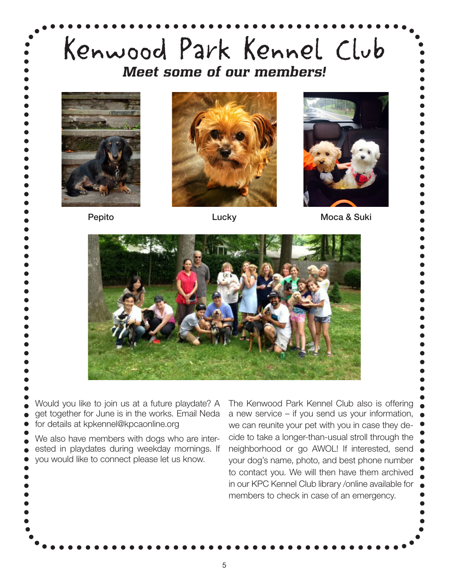# Kenwood Park Kennel Club *Meet some of our members!* Would you like to join us at a future playdate? A get together for June is in the works. Email Neda for details at kpkennel@kpcaonline.org We also have members with dogs who are interested in playdates during weekday mornings. If you would like to connect please let us know. The Kenwood Park Kennel Club also is offering a new service – if you send us your information, we can reunite your pet with you in case they decide to take a longer-than-usual stroll through the neighborhood or go AWOL! If interested, send your dog's name, photo, and best phone number to contact you. We will then have them archived in our KPC Kennel Club library /online available for members to check in case of an emergency. Pepito **Lucky** Lucky Moca & Suki

5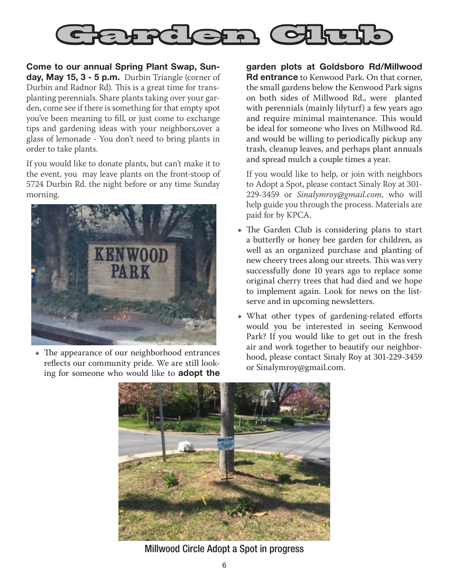

Come to our annual Spring Plant Swap, Sunday, May 15, 3 - 5 p.m. Durbin Triangle (corner of Durbin and Radnor Rd). This is a great time for transplanting perennials. Share plants taking over your garden, come see if there is something for that empty spot you've been meaning to fill, or just come to exchange tips and gardening ideas with your neighbors,over a glass of lemonade - You don't need to bring plants in order to take plants.

If you would like to donate plants, but can't make it to the event, you may leave plants on the front-stoop of 5724 Durbin Rd. the night before or any time Sunday morning.



• The appearance of our neighborhood entrances reflects our community pride. We are still looking for someone who would like to adopt the

garden plots at Goldsboro Rd/Millwood **Rd entrance** to Kenwood Park. On that corner, the small gardens below the Kenwood Park signs on both sides of Millwood Rd., were planted with perennials (mainly lilyturf) a few years ago and require minimal maintenance. This would be ideal for someone who lives on Millwood Rd. and would be willing to periodically pickup any trash, cleanup leaves, and perhaps plant annuals and spread mulch a couple times a year.

If you would like to help, or join with neighbors to Adopt a Spot, please contact Sinaly Roy at 301- 229-3459 or *Sinalymroy@gmail.com*, who will help guide you through the process. Materials are paid for by KPCA.

- The Garden Club is considering plans to start a butterfly or honey bee garden for children, as well as an organized purchase and planting of new cheery trees along our streets. This was very successfully done 10 years ago to replace some original cherry trees that had died and we hope to implement again. Look for news on the listserve and in upcoming newsletters.
- What other types of gardening-related efforts would you be interested in seeing Kenwood Park? If you would like to get out in the fresh air and work together to beautify our neighborhood, please contact Sinaly Roy at 301-229-3459 or Sinalymroy@gmail.com.



Millwood Circle Adopt a Spot in progress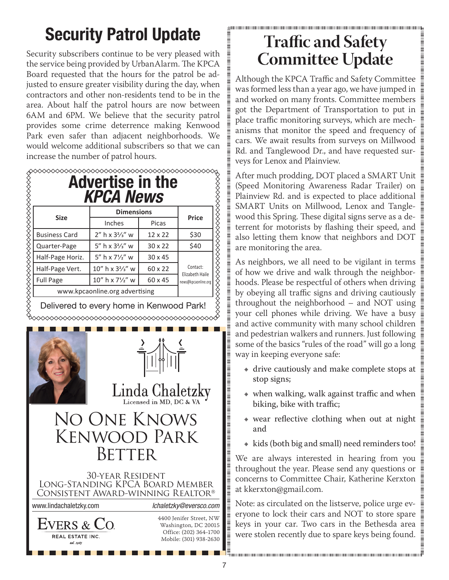# Security Patrol Update

Security subscribers continue to be very pleased with the service being provided by UrbanAlarm. The KPCA Board requested that the hours for the patrol be adjusted to ensure greater visibility during the day, when contractors and other non-residents tend to be in the area. About half the patrol hours are now between 6AM and 6PM. We believe that the security patrol provides some crime deterrence making Kenwood Park even safer than adjacent neighborhoods. We would welcome additional subscribers so that we can increase the number of patrol hours.

| <b>KPCA News</b>     |                                           |                |                                        |
|----------------------|-------------------------------------------|----------------|----------------------------------------|
| <b>Size</b>          | <b>Dimensions</b>                         |                | <b>Price</b>                           |
|                      | Inches                                    | Picas          |                                        |
| <b>Business Card</b> | $2''$ h x $3\frac{2}{3}''$ w              | $12 \times 22$ | \$30                                   |
| Quarter-Page         | 5" h x $3\frac{2}{3}$ " w                 | $30 \times 22$ | \$40                                   |
| Half-Page Horiz.     | 5" h x $7\frac{1}{2}$ " w                 | $30 \times 45$ |                                        |
| Half-Page Vert.      | 10" h x 3 <sup>2</sup> / <sub>3</sub> " w | 60 x 22        | Contact:                               |
| <b>Full Page</b>     | 10" h x 71/2" w                           | 60 x 45        | Elizabeth Haile<br>news@kpcaonline.org |

Delivered to every home in Kenwood Park!





Linda Chaletzky

## No One Knows Kenwood Park **BETTER**

#### 30-year Resident Long-Standing KPCA Board Member Consistent Award-winning Realtor www.lindachaletzky.com *lchaletzky@eversco.com*

**EVERS** &

4400 Jenifer Street, NW Washington, DC 20015 Office: (202) 364-1700 Mobile: (301) 938-2630

## **Traffic and Safety Committee Update**

|<br>|<br>|<br>|<br>|<br>|<br>|<br>|<br><br><br><br>

Although the KPCA Traffic and Safety Committee was formed less than a year ago, we have jumped in and worked on many fronts. Committee members got the Department of Transportation to put in place traffic monitoring surveys, which are mechanisms that monitor the speed and frequency of cars. We await results from surveys on Millwood Rd. and Tanglewood Dr., and have requested surveys for Lenox and Plainview.

After much prodding, DOT placed a SMART Unit (Speed Monitoring Awareness Radar Trailer) on Plainview Rd. and is expected to place additional SMART Units on Millwood, Lenox and Tanglewood this Spring. These digital signs serve as a deterrent for motorists by flashing their speed, and also letting them know that neighbors and DOT are monitoring the area.

As neighbors, we all need to be vigilant in terms of how we drive and walk through the neighborhoods. Please be respectful of others when driving by obeying all traffic signs and driving cautiously throughout the neighborhood – and NOT using your cell phones while driving. We have a busy and active community with many school children and pedestrian walkers and runners. Just following some of the basics "rules of the road" will go a long way in keeping everyone safe:

- drive cautiously and make complete stops at stop signs;
- when walking, walk against traffic and when biking, bike with traffic;
- wear reflective clothing when out at night and
- $\bullet$  kids (both big and small) need reminders too!

We are always interested in hearing from you throughout the year. Please send any questions or concerns to Committee Chair, Katherine Kerxton at kkerxton@gmail.com.

Note: as circulated on the listserve, police urge everyone to lock their cars and NOT to store spare keys in your car. Two cars in the Bethesda area were stolen recently due to spare keys being found.